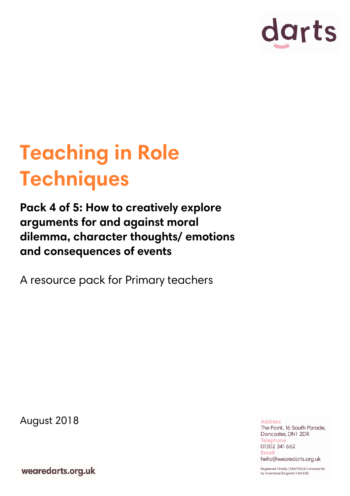

# **Teaching in Role Techniques**

**Pack 4 of 5: How to creatively explore arguments for and against moral dilemma, character thoughts/ emotions and consequences of events**

A resource pack for Primary teachers

August 2018

**Address** The Point, 16 South Parade, Doncaster, DN1 2DR **Telephone** 01302 341 662 **Email** hello@wearedarts.org.uk

wearedarts.org.uk

Registered Charity (1056799) & Company Itd by Guarantee (England 3166208)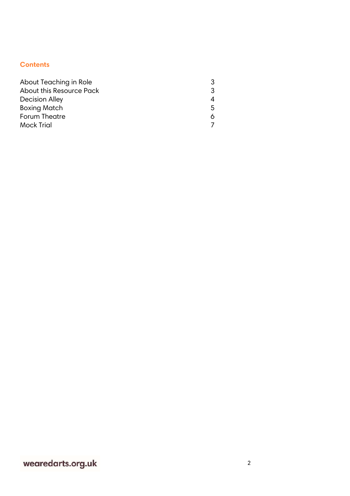# **Contents**

| About Teaching in Role   |    |
|--------------------------|----|
| About this Resource Pack |    |
| <b>Decision Alley</b>    |    |
| <b>Boxing Match</b>      | 5. |
| Forum Theatre            |    |
| <b>Mock Trial</b>        |    |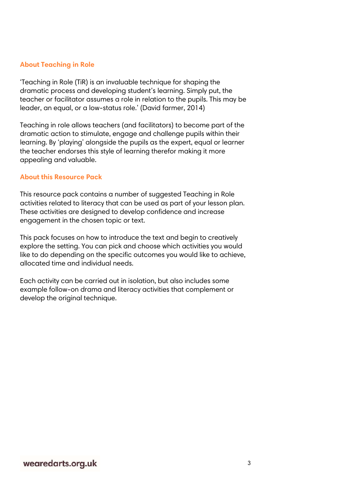## **About Teaching in Role**

'Teaching in Role (TiR) is an invaluable technique for shaping the dramatic process and developing student's learning. Simply put, the teacher or facilitator assumes a role in relation to the pupils. This may be leader, an equal, or a low-status role.' (David farmer, 2014)

Teaching in role allows teachers (and facilitators) to become part of the dramatic action to stimulate, engage and challenge pupils within their learning. By 'playing' alongside the pupils as the expert, equal or learner the teacher endorses this style of learning therefor making it more appealing and valuable.

#### **About this Resource Pack**

This resource pack contains a number of suggested Teaching in Role activities related to literacy that can be used as part of your lesson plan. These activities are designed to develop confidence and increase engagement in the chosen topic or text.

This pack focuses on how to introduce the text and begin to creatively explore the setting. You can pick and choose which activities you would like to do depending on the specific outcomes you would like to achieve, allocated time and individual needs.

Each activity can be carried out in isolation, but also includes some example follow-on drama and literacy activities that complement or develop the original technique.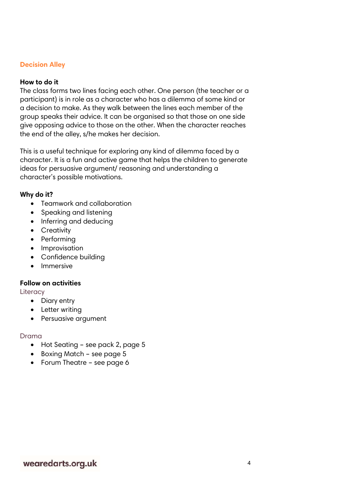## **Decision Alley**

## **How to do it**

The class forms two lines facing each other. One person (the teacher or a participant) is in role as a character who has a dilemma of some kind or a decision to make. As they walk between the lines each member of the group speaks their advice. It can be organised so that those on one side give opposing advice to those on the other. When the character reaches the end of the alley, s/he makes her decision.

This is a useful technique for exploring any kind of dilemma faced by a character. It is a fun and active game that helps the children to generate ideas for persuasive argument/ reasoning and understanding a character's possible motivations.

## **Why do it?**

- Teamwork and collaboration
- Speaking and listening
- Inferring and deducing
- Creativity
- Performing
- Improvisation
- Confidence building
- Immersive

## **Follow on activities**

**Literacy** 

- Diary entry
- Letter writing
- Persuasive argument

## Drama

- Hot Seating see pack 2, page 5
- Boxing Match see page 5
- Forum Theatre see page 6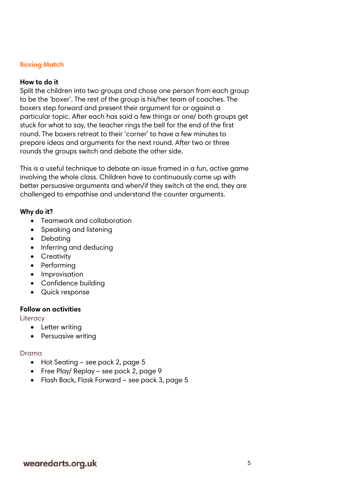## **Boxing Match**

## **How to do it**

Split the children into two groups and chose one person from each group to be the 'boxer'. The rest of the group is his/her team of coaches. The boxers step forward and present their argument for or against a particular topic. After each has said a few things or one/ both groups get stuck for what to say, the teacher rings the bell for the end of the first round. The boxers retreat to their 'corner' to have a few minutes to prepare ideas and arguments for the next round. After two or three rounds the groups switch and debate the other side.

This is a useful technique to debate an issue framed in a fun, active game involving the whole class. Children have to continuously come up with better persuasive arguments and when/if they switch at the end, they are challenged to empathise and understand the counter arguments.

## **Why do it?**

- Teamwork and collaboration
- Speaking and listening
- Debating
- Inferring and deducing
- Creativity
- Performing
- Improvisation
- Confidence building
- Quick response

## **Follow on activities**

**Literacy** 

- Letter writing
- Persuasive writing

## Drama

- Hot Seating see pack 2, page 5
- Free Play/ Replay see pack 2, page 9
- Flash Back, Flask Forward see pack 3, page 5

# wearedarts.org.uk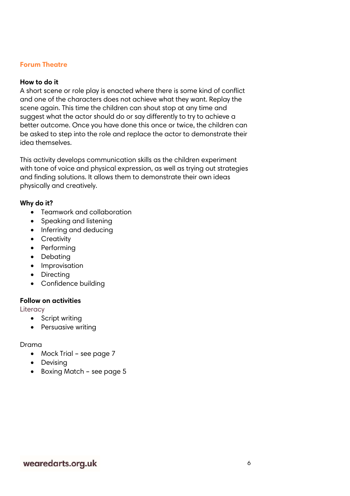## **Forum Theatre**

## **How to do it**

A short scene or role play is enacted where there is some kind of conflict and one of the characters does not achieve what they want. Replay the scene again. This time the children can shout stop at any time and suggest what the actor should do or say differently to try to achieve a better outcome. Once you have done this once or twice, the children can be asked to step into the role and replace the actor to demonstrate their idea themselves.

This activity develops communication skills as the children experiment with tone of voice and physical expression, as well as trying out strategies and finding solutions. It allows them to demonstrate their own ideas physically and creatively.

### **Why do it?**

- Teamwork and collaboration
- Speaking and listening
- Inferring and deducing
- Creativity
- Performing
- Debating
- Improvisation
- Directing
- Confidence building

#### **Follow on activities**

**Literacy** 

- Script writing
- Persuasive writing

#### Drama

- Mock Trial see page 7
- Devising
- Boxing Match see page 5